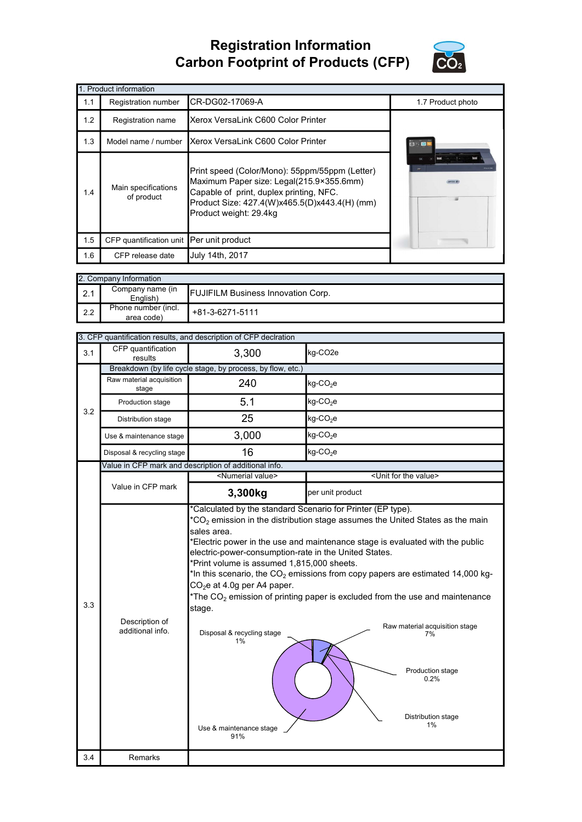## Registration Information Carbon Footprint of Products (CFP)



|     | 1. Product information                   |                                                                                                                                                                                                                  |                          |  |  |  |
|-----|------------------------------------------|------------------------------------------------------------------------------------------------------------------------------------------------------------------------------------------------------------------|--------------------------|--|--|--|
| 1.1 | Registration number                      | CR-DG02-17069-A                                                                                                                                                                                                  | 1.7 Product photo        |  |  |  |
| 1.2 | Registration name                        | Xerox VersaLink C600 Color Printer                                                                                                                                                                               |                          |  |  |  |
| 1.3 | Model name / number                      | Xerox VersaLink C600 Color Printer                                                                                                                                                                               | 日は国                      |  |  |  |
| 1.4 | Main specifications<br>of product        | Print speed (Color/Mono): 55ppm/55ppm (Letter)<br>Maximum Paper size: Legal(215.9×355.6mm)<br>Capable of print, duplex printing, NFC.<br>Product Size: 427.4(W)x465.5(D)x443.4(H) (mm)<br>Product weight: 29.4kg | $\overline{\mathbf{10}}$ |  |  |  |
| 1.5 | CFP quantification unit Per unit product |                                                                                                                                                                                                                  |                          |  |  |  |
| 1.6 | CFP release date                         | July 14th, 2017                                                                                                                                                                                                  |                          |  |  |  |

|             | 2. Company Information            |                                           |  |  |  |
|-------------|-----------------------------------|-------------------------------------------|--|--|--|
| $\vert$ 2.1 | Company name (in<br>English)      | <b>FUJIFILM Business Innovation Corp.</b> |  |  |  |
| l 2.2       | Phone number (incl.<br>area code) | +81-3-6271-5111                           |  |  |  |

|     |                                    | 3. CFP quantification results, and description of CFP declration                                                                                                                                                                   |                                                                                                                                                                                                                                                                                                                                                                                                                                                        |
|-----|------------------------------------|------------------------------------------------------------------------------------------------------------------------------------------------------------------------------------------------------------------------------------|--------------------------------------------------------------------------------------------------------------------------------------------------------------------------------------------------------------------------------------------------------------------------------------------------------------------------------------------------------------------------------------------------------------------------------------------------------|
| 3.1 | CFP quantification<br>results      | 3,300                                                                                                                                                                                                                              | kg-CO <sub>2e</sub>                                                                                                                                                                                                                                                                                                                                                                                                                                    |
|     |                                    | Breakdown (by life cycle stage, by process, by flow, etc.)                                                                                                                                                                         |                                                                                                                                                                                                                                                                                                                                                                                                                                                        |
|     | Raw material acquisition<br>stage  | 240                                                                                                                                                                                                                                | $kg$ -CO <sub>2</sub> e                                                                                                                                                                                                                                                                                                                                                                                                                                |
| 3.2 | Production stage                   | 5.1                                                                                                                                                                                                                                | kg-CO <sub>2</sub> e                                                                                                                                                                                                                                                                                                                                                                                                                                   |
|     | Distribution stage                 | 25                                                                                                                                                                                                                                 | $kg$ -CO <sub>2</sub> e                                                                                                                                                                                                                                                                                                                                                                                                                                |
|     | Use & maintenance stage            | 3,000                                                                                                                                                                                                                              | $kg$ -CO <sub>2</sub> e                                                                                                                                                                                                                                                                                                                                                                                                                                |
|     | Disposal & recycling stage         | 16                                                                                                                                                                                                                                 | $kg$ -CO <sub>2</sub> e                                                                                                                                                                                                                                                                                                                                                                                                                                |
|     |                                    | Value in CFP mark and description of additional info.                                                                                                                                                                              |                                                                                                                                                                                                                                                                                                                                                                                                                                                        |
|     |                                    | <numerial value=""></numerial>                                                                                                                                                                                                     | <unit for="" the="" value=""></unit>                                                                                                                                                                                                                                                                                                                                                                                                                   |
|     | Value in CFP mark                  | 3,300kg                                                                                                                                                                                                                            | per unit product                                                                                                                                                                                                                                                                                                                                                                                                                                       |
| 3.3 | Description of<br>additional info. | sales area.<br>electric-power-consumption-rate in the United States.<br>*Print volume is assumed 1,815,000 sheets.<br>$CO2e$ at 4.0g per A4 paper.<br>stage.<br>Disposal & recycling stage<br>1%<br>Use & maintenance stage<br>91% | $*$ CO <sub>2</sub> emission in the distribution stage assumes the United States as the main<br>*Electric power in the use and maintenance stage is evaluated with the public<br>*In this scenario, the $CO2$ emissions from copy papers are estimated 14,000 kg-<br>*The $CO2$ emission of printing paper is excluded from the use and maintenance<br>Raw material acquisition stage<br>7%<br>Production stage<br>0.2%<br>Distribution stage<br>$1\%$ |
| 3.4 | Remarks                            |                                                                                                                                                                                                                                    |                                                                                                                                                                                                                                                                                                                                                                                                                                                        |